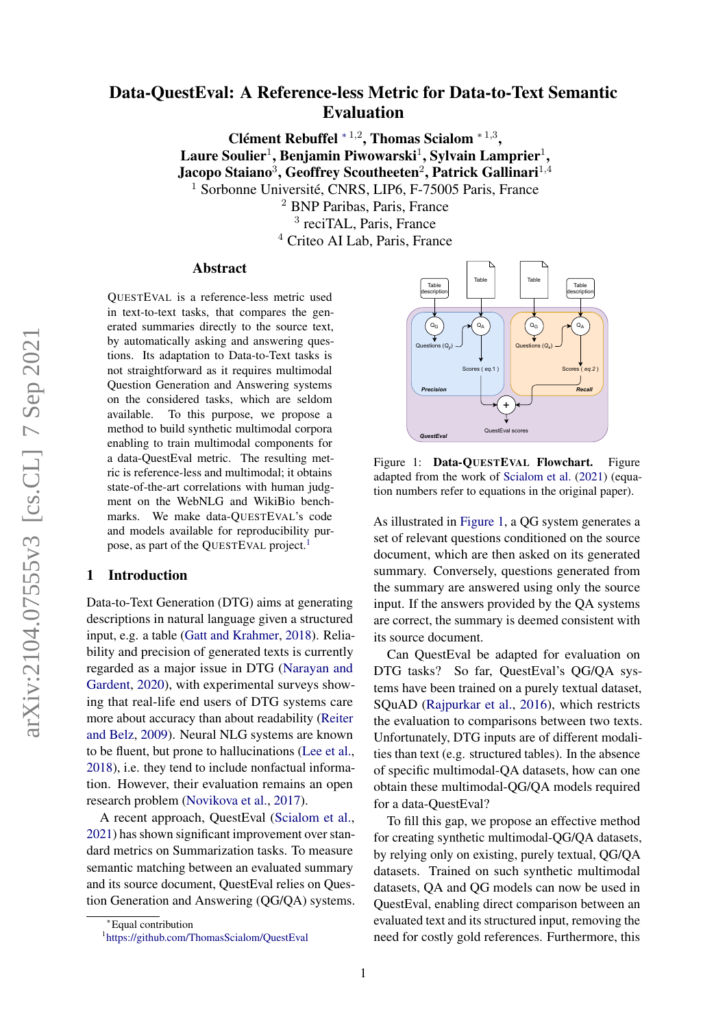# Data-QuestEval: A Reference-less Metric for Data-to-Text Semantic Evaluation

Clément Rebuffel  $*1,2$ , Thomas Scialom  $*1,3$ , Laure Soulier $^1$ , Benjamin Piwowarski $^1$ , Sylvain Lamprier $^1,$ Jacopo Staiano $^3$ , Geoffrey Scoutheeten $^2$ , Patrick Gallinari $^{1,4}$ <sup>1</sup> Sorbonne Université, CNRS, LIP6, F-75005 Paris, France

> <sup>2</sup> BNP Paribas, Paris, France 3 reciTAL, Paris, France <sup>4</sup> Criteo AI Lab, Paris, France

#### Abstract

QUESTEVAL is a reference-less metric used in text-to-text tasks, that compares the generated summaries directly to the source text, by automatically asking and answering questions. Its adaptation to Data-to-Text tasks is not straightforward as it requires multimodal Question Generation and Answering systems on the considered tasks, which are seldom available. To this purpose, we propose a method to build synthetic multimodal corpora enabling to train multimodal components for a data-QuestEval metric. The resulting metric is reference-less and multimodal; it obtains state-of-the-art correlations with human judgment on the WebNLG and WikiBio benchmarks. We make data-QUESTEVAL's code and models available for reproducibility pur-pose, as part of the QUESTEVAL project.<sup>[1](#page-0-0)</sup>

### 1 Introduction

Data-to-Text Generation (DTG) aims at generating descriptions in natural language given a structured input, e.g. a table [\(Gatt and Krahmer,](#page-5-0) [2018\)](#page-5-0). Reliability and precision of generated texts is currently regarded as a major issue in DTG [\(Narayan and](#page-5-1) [Gardent,](#page-5-1) [2020\)](#page-5-1), with experimental surveys showing that real-life end users of DTG systems care more about accuracy than about readability [\(Reiter](#page-6-0) [and Belz,](#page-6-0) [2009\)](#page-6-0). Neural NLG systems are known to be fluent, but prone to hallucinations [\(Lee et al.,](#page-5-2) [2018\)](#page-5-2), i.e. they tend to include nonfactual information. However, their evaluation remains an open research problem [\(Novikova et al.,](#page-5-3) [2017\)](#page-5-3).

A recent approach, QuestEval [\(Scialom et al.,](#page-6-1) [2021\)](#page-6-1) has shown significant improvement over standard metrics on Summarization tasks. To measure semantic matching between an evaluated summary and its source document, QuestEval relies on Question Generation and Answering (QG/QA) systems.

<span id="page-0-1"></span>

Figure 1: Data-OUESTEVAL Flowchart. Figure adapted from the work of [Scialom et al.](#page-6-1) [\(2021\)](#page-6-1) (equation numbers refer to equations in the original paper).

As illustrated in [Figure 1,](#page-0-1) a QG system generates a set of relevant questions conditioned on the source document, which are then asked on its generated summary. Conversely, questions generated from the summary are answered using only the source input. If the answers provided by the QA systems are correct, the summary is deemed consistent with its source document.

Can QuestEval be adapted for evaluation on DTG tasks? So far, QuestEval's QG/QA systems have been trained on a purely textual dataset, SQuAD [\(Rajpurkar et al.,](#page-5-4) [2016\)](#page-5-4), which restricts the evaluation to comparisons between two texts. Unfortunately, DTG inputs are of different modalities than text (e.g. structured tables). In the absence of specific multimodal-QA datasets, how can one obtain these multimodal-QG/QA models required for a data-QuestEval?

To fill this gap, we propose an effective method for creating synthetic multimodal-QG/QA datasets, by relying only on existing, purely textual, QG/QA datasets. Trained on such synthetic multimodal datasets, QA and QG models can now be used in QuestEval, enabling direct comparison between an evaluated text and its structured input, removing the need for costly gold references. Furthermore, this

<sup>∗</sup>Equal contribution

<span id="page-0-0"></span><sup>1</sup> <https://github.com/ThomasScialom/QuestEval>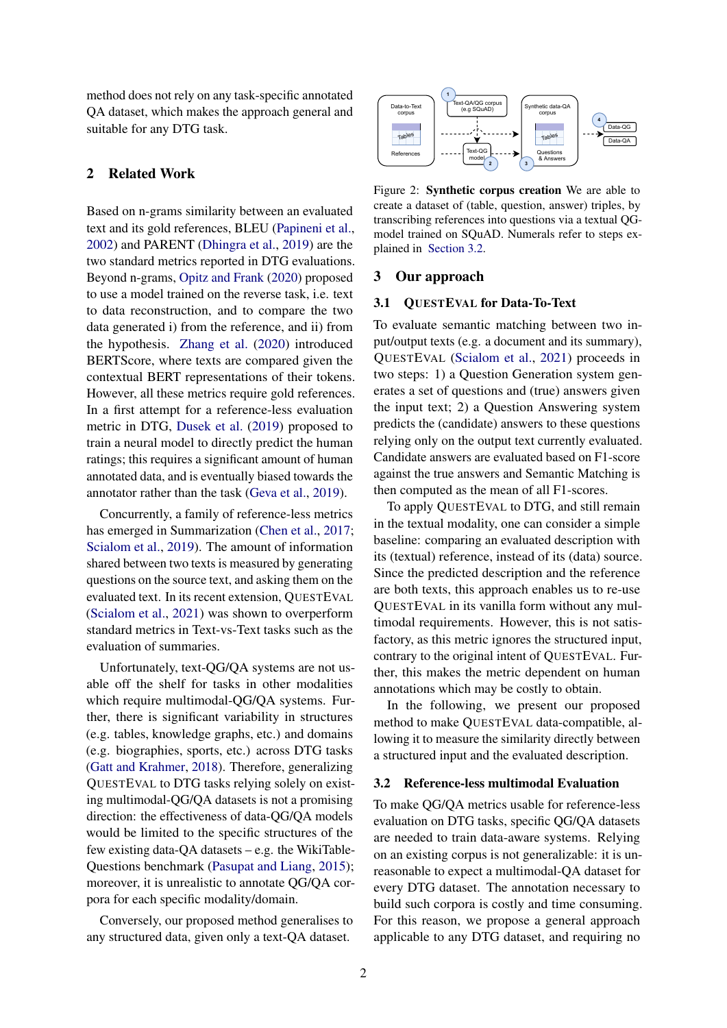method does not rely on any task-specific annotated QA dataset, which makes the approach general and suitable for any DTG task.

# 2 Related Work

Based on n-grams similarity between an evaluated text and its gold references, BLEU [\(Papineni et al.,](#page-5-5) [2002\)](#page-5-5) and PARENT [\(Dhingra et al.,](#page-5-6) [2019\)](#page-5-6) are the two standard metrics reported in DTG evaluations. Beyond n-grams, [Opitz and Frank](#page-5-7) [\(2020\)](#page-5-7) proposed to use a model trained on the reverse task, i.e. text to data reconstruction, and to compare the two data generated i) from the reference, and ii) from the hypothesis. [Zhang et al.](#page-6-2) [\(2020\)](#page-6-2) introduced BERTScore, where texts are compared given the contextual BERT representations of their tokens. However, all these metrics require gold references. In a first attempt for a reference-less evaluation metric in DTG, [Dusek et al.](#page-5-8) [\(2019\)](#page-5-8) proposed to train a neural model to directly predict the human ratings; this requires a significant amount of human annotated data, and is eventually biased towards the annotator rather than the task [\(Geva et al.,](#page-5-9) [2019\)](#page-5-9).

Concurrently, a family of reference-less metrics has emerged in Summarization [\(Chen et al.,](#page-4-0) [2017;](#page-4-0) [Scialom et al.,](#page-6-3) [2019\)](#page-6-3). The amount of information shared between two texts is measured by generating questions on the source text, and asking them on the evaluated text. In its recent extension, QUESTEVAL [\(Scialom et al.,](#page-6-1) [2021\)](#page-6-1) was shown to overperform standard metrics in Text-vs-Text tasks such as the evaluation of summaries.

Unfortunately, text-QG/QA systems are not usable off the shelf for tasks in other modalities which require multimodal-QG/QA systems. Further, there is significant variability in structures (e.g. tables, knowledge graphs, etc.) and domains (e.g. biographies, sports, etc.) across DTG tasks [\(Gatt and Krahmer,](#page-5-0) [2018\)](#page-5-0). Therefore, generalizing QUESTEVAL to DTG tasks relying solely on existing multimodal-QG/QA datasets is not a promising direction: the effectiveness of data-QG/QA models would be limited to the specific structures of the few existing data-QA datasets – e.g. the WikiTable-Questions benchmark [\(Pasupat and Liang,](#page-5-10) [2015\)](#page-5-10); moreover, it is unrealistic to annotate QG/QA corpora for each specific modality/domain.

Conversely, our proposed method generalises to any structured data, given only a text-QA dataset.

<span id="page-1-1"></span>

Figure 2: Synthetic corpus creation We are able to create a dataset of (table, question, answer) triples, by transcribing references into questions via a textual QGmodel trained on SQuAD. Numerals refer to steps explained in [Section 3.2.](#page-1-0)

#### 3 Our approach

### <span id="page-1-2"></span>3.1 QUESTEVAL for Data-To-Text

To evaluate semantic matching between two input/output texts (e.g. a document and its summary), QUESTEVAL [\(Scialom et al.,](#page-6-1) [2021\)](#page-6-1) proceeds in two steps: 1) a Question Generation system generates a set of questions and (true) answers given the input text; 2) a Question Answering system predicts the (candidate) answers to these questions relying only on the output text currently evaluated. Candidate answers are evaluated based on F1-score against the true answers and Semantic Matching is then computed as the mean of all F1-scores.

To apply QUESTEVAL to DTG, and still remain in the textual modality, one can consider a simple baseline: comparing an evaluated description with its (textual) reference, instead of its (data) source. Since the predicted description and the reference are both texts, this approach enables us to re-use QUESTEVAL in its vanilla form without any multimodal requirements. However, this is not satisfactory, as this metric ignores the structured input, contrary to the original intent of QUESTEVAL. Further, this makes the metric dependent on human annotations which may be costly to obtain.

In the following, we present our proposed method to make QUESTEVAL data-compatible, allowing it to measure the similarity directly between a structured input and the evaluated description.

#### <span id="page-1-0"></span>3.2 Reference-less multimodal Evaluation

To make QG/QA metrics usable for reference-less evaluation on DTG tasks, specific QG/QA datasets are needed to train data-aware systems. Relying on an existing corpus is not generalizable: it is unreasonable to expect a multimodal-QA dataset for every DTG dataset. The annotation necessary to build such corpora is costly and time consuming. For this reason, we propose a general approach applicable to any DTG dataset, and requiring no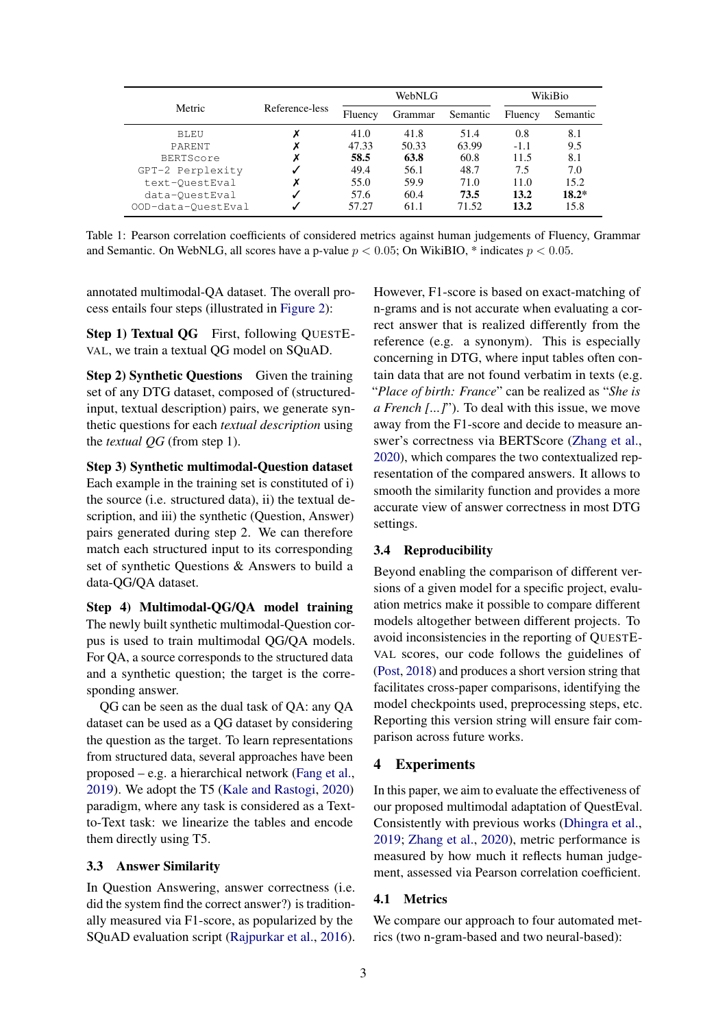<span id="page-2-0"></span>

|                    | Reference-less | WebNLG  |         |          | WikiBio |          |
|--------------------|----------------|---------|---------|----------|---------|----------|
| Metric             |                | Fluency | Grammar | Semantic | Fluency | Semantic |
| <b>BLEU</b>        | v              | 41.0    | 41.8    | 51.4     | 0.8     | 8.1      |
| PARENT             |                | 47.33   | 50.33   | 63.99    | $-1.1$  | 9.5      |
| <b>BERTScore</b>   |                | 58.5    | 63.8    | 60.8     | 11.5    | 8.1      |
| GPT-2 Perplexity   |                | 49.4    | 56.1    | 48.7     | 7.5     | 7.0      |
| text-OuestEval     |                | 55.0    | 59.9    | 71.0     | 11.0    | 15.2     |
| data-OuestEval     |                | 57.6    | 60.4    | 73.5     | 13.2    | $18.2*$  |
| OOD-data-QuestEval |                | 57.27   | 61.1    | 71.52    | 13.2    | 15.8     |

Table 1: Pearson correlation coefficients of considered metrics against human judgements of Fluency, Grammar and Semantic. On WebNLG, all scores have a p-value  $p < 0.05$ ; On WikiBIO, \* indicates  $p < 0.05$ .

annotated multimodal-QA dataset. The overall process entails four steps (illustrated in [Figure 2\)](#page-1-1):

Step 1) Textual QG First, following QUESTE-VAL, we train a textual QG model on SQuAD.

Step 2) Synthetic Questions Given the training set of any DTG dataset, composed of (structuredinput, textual description) pairs, we generate synthetic questions for each *textual description* using the *textual QG* (from step 1).

Step 3) Synthetic multimodal-Question dataset Each example in the training set is constituted of i) the source (i.e. structured data), ii) the textual description, and iii) the synthetic (Question, Answer) pairs generated during step 2. We can therefore match each structured input to its corresponding set of synthetic Questions & Answers to build a data-QG/QA dataset.

Step 4) Multimodal-QG/QA model training The newly built synthetic multimodal-Question corpus is used to train multimodal QG/QA models. For QA, a source corresponds to the structured data and a synthetic question; the target is the corresponding answer.

QG can be seen as the dual task of QA: any QA dataset can be used as a QG dataset by considering the question as the target. To learn representations from structured data, several approaches have been proposed – e.g. a hierarchical network [\(Fang et al.,](#page-5-11) [2019\)](#page-5-11). We adopt the T5 [\(Kale and Rastogi,](#page-5-12) [2020\)](#page-5-12) paradigm, where any task is considered as a Textto-Text task: we linearize the tables and encode them directly using T5.

## <span id="page-2-1"></span>3.3 Answer Similarity

In Question Answering, answer correctness (i.e. did the system find the correct answer?) is traditionally measured via F1-score, as popularized by the SQuAD evaluation script [\(Rajpurkar et al.,](#page-5-4) [2016\)](#page-5-4). However, F1-score is based on exact-matching of n-grams and is not accurate when evaluating a correct answer that is realized differently from the reference (e.g. a synonym). This is especially concerning in DTG, where input tables often contain data that are not found verbatim in texts (e.g. "*Place of birth: France*" can be realized as "*She is a French [...]*"). To deal with this issue, we move away from the F1-score and decide to measure answer's correctness via BERTScore [\(Zhang et al.,](#page-6-2) [2020\)](#page-6-2), which compares the two contextualized representation of the compared answers. It allows to smooth the similarity function and provides a more accurate view of answer correctness in most DTG settings.

#### 3.4 Reproducibility

Beyond enabling the comparison of different versions of a given model for a specific project, evaluation metrics make it possible to compare different models altogether between different projects. To avoid inconsistencies in the reporting of QUESTE-VAL scores, our code follows the guidelines of [\(Post,](#page-5-13) [2018\)](#page-5-13) and produces a short version string that facilitates cross-paper comparisons, identifying the model checkpoints used, preprocessing steps, etc. Reporting this version string will ensure fair comparison across future works.

#### 4 Experiments

In this paper, we aim to evaluate the effectiveness of our proposed multimodal adaptation of QuestEval. Consistently with previous works [\(Dhingra et al.,](#page-5-6) [2019;](#page-5-6) [Zhang et al.,](#page-6-2) [2020\)](#page-6-2), metric performance is measured by how much it reflects human judgement, assessed via Pearson correlation coefficient.

#### 4.1 Metrics

We compare our approach to four automated metrics (two n-gram-based and two neural-based):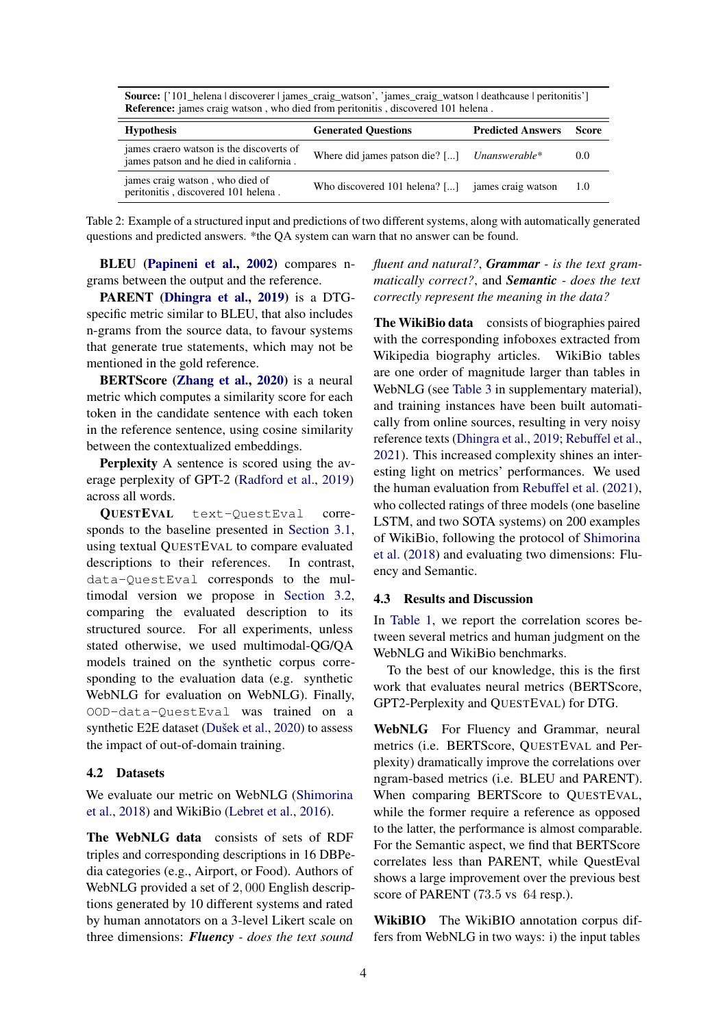| <b>Source:</b>   101_neiena   discoverer   james_craig_watson, james_craig_watson   deathcause   peritonitis<br><b>Reference:</b> james craig watson, who died from peritonitis, discovered 101 helena. |                                                  |                          |       |  |  |  |
|---------------------------------------------------------------------------------------------------------------------------------------------------------------------------------------------------------|--------------------------------------------------|--------------------------|-------|--|--|--|
| <b>Hypothesis</b>                                                                                                                                                                                       | <b>Generated Ouestions</b>                       | <b>Predicted Answers</b> | Score |  |  |  |
| james craero watson is the discoverts of<br>james patson and he died in california.                                                                                                                     | Where did james patson die? [] Unanswerable*     |                          | 0.0   |  |  |  |
| james craig watson, who died of<br>peritonitis, discovered 101 helena.                                                                                                                                  | Who discovered 101 helena? [] james craig watson |                          | -1.0  |  |  |  |

<span id="page-3-0"></span>Source: ['101\_helena | discoverer | james\_craig\_watson', 'james\_craig\_watson | deathcause | peritonitis']

Table 2: Example of a structured input and predictions of two different systems, along with automatically generated questions and predicted answers. \*the QA system can warn that no answer can be found.

BLEU [\(Papineni et al.,](#page-5-5) [2002\)](#page-5-5) compares ngrams between the output and the reference.

PARENT [\(Dhingra et al.,](#page-5-6) [2019\)](#page-5-6) is a DTGspecific metric similar to BLEU, that also includes n-grams from the source data, to favour systems that generate true statements, which may not be mentioned in the gold reference.

BERTScore [\(Zhang et al.,](#page-6-2) [2020\)](#page-6-2) is a neural metric which computes a similarity score for each token in the candidate sentence with each token in the reference sentence, using cosine similarity between the contextualized embeddings.

Perplexity A sentence is scored using the average perplexity of GPT-2 [\(Radford et al.,](#page-5-14) [2019\)](#page-5-14) across all words.

QUESTEVAL text-QuestEval corresponds to the baseline presented in [Section 3.1,](#page-1-2) using textual QUESTEVAL to compare evaluated descriptions to their references. In contrast, data-QuestEval corresponds to the multimodal version we propose in [Section 3.2,](#page-1-0) comparing the evaluated description to its structured source. For all experiments, unless stated otherwise, we used multimodal-QG/QA models trained on the synthetic corpus corresponding to the evaluation data (e.g. synthetic WebNLG for evaluation on WebNLG). Finally, OOD-data-QuestEval was trained on a synthetic E2E dataset [\(Dušek et al.,](#page-5-15) [2020\)](#page-5-15) to assess the impact of out-of-domain training.

## 4.2 Datasets

We evaluate our metric on WebNLG [\(Shimorina](#page-6-4) [et al.,](#page-6-4) [2018\)](#page-6-4) and WikiBio [\(Lebret et al.,](#page-5-16) [2016\)](#page-5-16).

The WebNLG data consists of sets of RDF triples and corresponding descriptions in 16 DBPedia categories (e.g., Airport, or Food). Authors of WebNLG provided a set of 2, 000 English descriptions generated by 10 different systems and rated by human annotators on a 3-level Likert scale on three dimensions: *Fluency - does the text sound*

*fluent and natural?*, *Grammar - is the text grammatically correct?*, and *Semantic - does the text correctly represent the meaning in the data?*

The WikiBio data consists of biographies paired with the corresponding infoboxes extracted from Wikipedia biography articles. WikiBio tables are one order of magnitude larger than tables in WebNLG (see [Table 3](#page-7-0) in supplementary material), and training instances have been built automatically from online sources, resulting in very noisy reference texts [\(Dhingra et al.,](#page-5-6) [2019;](#page-5-6) [Rebuffel et al.,](#page-6-5) [2021\)](#page-6-5). This increased complexity shines an interesting light on metrics' performances. We used the human evaluation from [Rebuffel et al.](#page-6-5) [\(2021\)](#page-6-5), who collected ratings of three models (one baseline LSTM, and two SOTA systems) on 200 examples of WikiBio, following the protocol of [Shimorina](#page-6-4) [et al.](#page-6-4) [\(2018\)](#page-6-4) and evaluating two dimensions: Fluency and Semantic.

#### 4.3 Results and Discussion

In [Table 1,](#page-2-0) we report the correlation scores between several metrics and human judgment on the WebNLG and WikiBio benchmarks.

To the best of our knowledge, this is the first work that evaluates neural metrics (BERTScore, GPT2-Perplexity and QUESTEVAL) for DTG.

WebNLG For Fluency and Grammar, neural metrics (i.e. BERTScore, QUESTEVAL and Perplexity) dramatically improve the correlations over ngram-based metrics (i.e. BLEU and PARENT). When comparing BERTScore to QUESTEVAL, while the former require a reference as opposed to the latter, the performance is almost comparable. For the Semantic aspect, we find that BERTScore correlates less than PARENT, while QuestEval shows a large improvement over the previous best score of PARENT (73.5 vs 64 resp.).

WikiBIO The WikiBIO annotation corpus differs from WebNLG in two ways: i) the input tables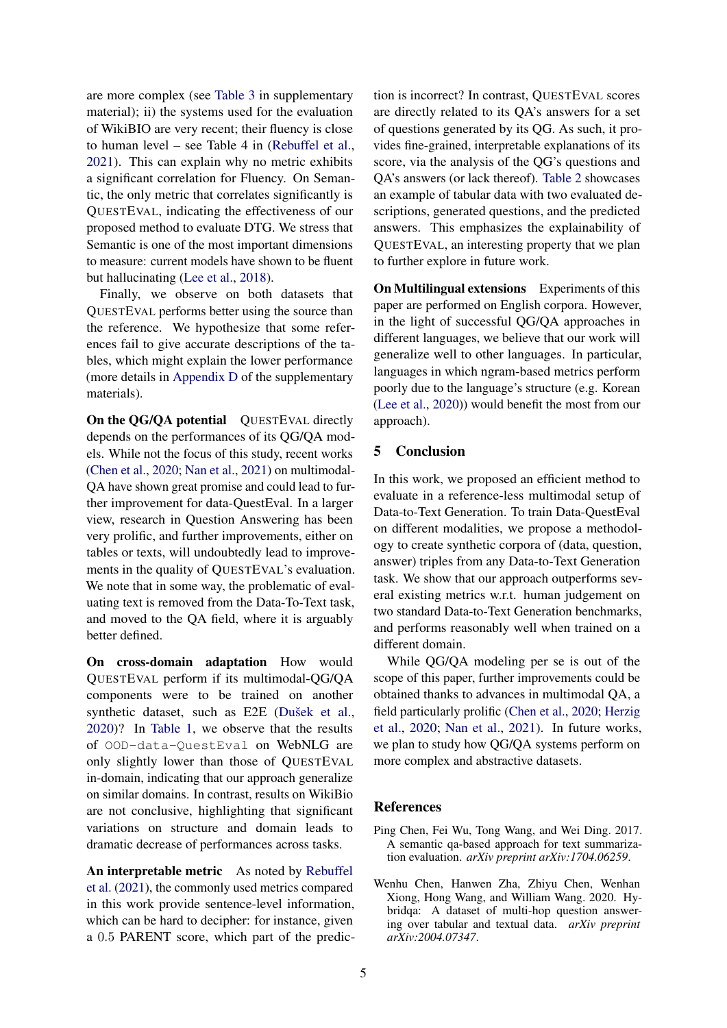are more complex (see [Table 3](#page-7-0) in supplementary material); ii) the systems used for the evaluation of WikiBIO are very recent; their fluency is close to human level – see Table 4 in [\(Rebuffel et al.,](#page-6-5) [2021\)](#page-6-5). This can explain why no metric exhibits a significant correlation for Fluency. On Semantic, the only metric that correlates significantly is QUESTEVAL, indicating the effectiveness of our proposed method to evaluate DTG. We stress that Semantic is one of the most important dimensions to measure: current models have shown to be fluent but hallucinating [\(Lee et al.,](#page-5-2) [2018\)](#page-5-2).

Finally, we observe on both datasets that QUESTEVAL performs better using the source than the reference. We hypothesize that some references fail to give accurate descriptions of the tables, which might explain the lower performance (more details in [Appendix D](#page-7-1) of the supplementary materials).

On the QG/QA potential QUESTEVAL directly depends on the performances of its QG/QA models. While not the focus of this study, recent works [\(Chen et al.,](#page-4-1) [2020;](#page-4-1) [Nan et al.,](#page-5-17) [2021\)](#page-5-17) on multimodal-QA have shown great promise and could lead to further improvement for data-QuestEval. In a larger view, research in Question Answering has been very prolific, and further improvements, either on tables or texts, will undoubtedly lead to improvements in the quality of QUESTEVAL's evaluation. We note that in some way, the problematic of evaluating text is removed from the Data-To-Text task, and moved to the QA field, where it is arguably better defined.

On cross-domain adaptation How would QUESTEVAL perform if its multimodal-QG/QA components were to be trained on another synthetic dataset, such as E2E [\(Dušek et al.,](#page-5-15) [2020\)](#page-5-15)? In [Table 1,](#page-2-0) we observe that the results of OOD-data-QuestEval on WebNLG are only slightly lower than those of QUESTEVAL in-domain, indicating that our approach generalize on similar domains. In contrast, results on WikiBio are not conclusive, highlighting that significant variations on structure and domain leads to dramatic decrease of performances across tasks.

An interpretable metric As noted by [Rebuffel](#page-6-5) [et al.](#page-6-5) [\(2021\)](#page-6-5), the commonly used metrics compared in this work provide sentence-level information, which can be hard to decipher: for instance, given a 0.5 PARENT score, which part of the prediction is incorrect? In contrast, QUESTEVAL scores are directly related to its QA's answers for a set of questions generated by its QG. As such, it provides fine-grained, interpretable explanations of its score, via the analysis of the QG's questions and QA's answers (or lack thereof). [Table 2](#page-3-0) showcases an example of tabular data with two evaluated descriptions, generated questions, and the predicted answers. This emphasizes the explainability of QUESTEVAL, an interesting property that we plan to further explore in future work.

On Multilingual extensions Experiments of this paper are performed on English corpora. However, in the light of successful QG/QA approaches in different languages, we believe that our work will generalize well to other languages. In particular, languages in which ngram-based metrics perform poorly due to the language's structure (e.g. Korean [\(Lee et al.,](#page-5-18) [2020\)](#page-5-18)) would benefit the most from our approach).

# 5 Conclusion

In this work, we proposed an efficient method to evaluate in a reference-less multimodal setup of Data-to-Text Generation. To train Data-QuestEval on different modalities, we propose a methodology to create synthetic corpora of (data, question, answer) triples from any Data-to-Text Generation task. We show that our approach outperforms several existing metrics w.r.t. human judgement on two standard Data-to-Text Generation benchmarks, and performs reasonably well when trained on a different domain.

While QG/QA modeling per se is out of the scope of this paper, further improvements could be obtained thanks to advances in multimodal QA, a field particularly prolific [\(Chen et al.,](#page-4-1) [2020;](#page-4-1) [Herzig](#page-5-19) [et al.,](#page-5-19) [2020;](#page-5-19) [Nan et al.,](#page-5-17) [2021\)](#page-5-17). In future works, we plan to study how QG/QA systems perform on more complex and abstractive datasets.

### References

- <span id="page-4-0"></span>Ping Chen, Fei Wu, Tong Wang, and Wei Ding. 2017. A semantic qa-based approach for text summarization evaluation. *arXiv preprint arXiv:1704.06259*.
- <span id="page-4-1"></span>Wenhu Chen, Hanwen Zha, Zhiyu Chen, Wenhan Xiong, Hong Wang, and William Wang. 2020. Hybridqa: A dataset of multi-hop question answering over tabular and textual data. *arXiv preprint arXiv:2004.07347*.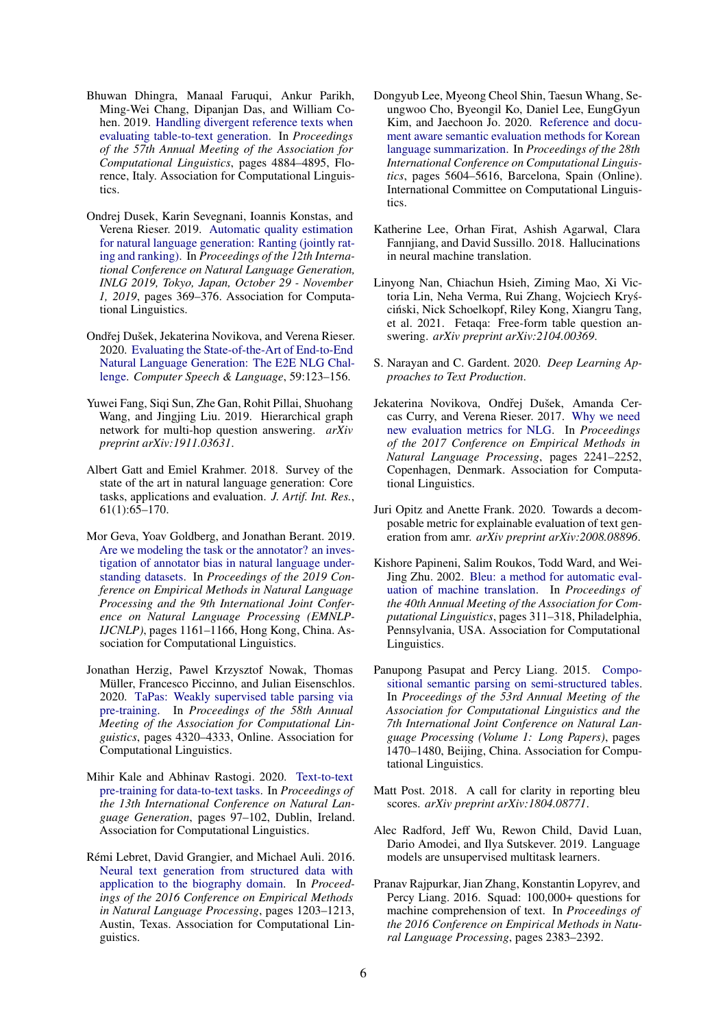- <span id="page-5-6"></span>Bhuwan Dhingra, Manaal Faruqui, Ankur Parikh, Ming-Wei Chang, Dipanjan Das, and William Cohen. 2019. [Handling divergent reference texts when](https://doi.org/10.18653/v1/P19-1483) [evaluating table-to-text generation.](https://doi.org/10.18653/v1/P19-1483) In *Proceedings of the 57th Annual Meeting of the Association for Computational Linguistics*, pages 4884–4895, Florence, Italy. Association for Computational Linguistics.
- <span id="page-5-8"></span>Ondrej Dusek, Karin Sevegnani, Ioannis Konstas, and Verena Rieser. 2019. [Automatic quality estimation](https://doi.org/10.18653/v1/W19-8644) [for natural language generation: Ranting \(jointly rat](https://doi.org/10.18653/v1/W19-8644)[ing and ranking\).](https://doi.org/10.18653/v1/W19-8644) In *Proceedings of the 12th International Conference on Natural Language Generation, INLG 2019, Tokyo, Japan, October 29 - November 1, 2019*, pages 369–376. Association for Computational Linguistics.
- <span id="page-5-15"></span>Ondřej Dušek, Jekaterina Novikova, and Verena Rieser. 2020. [Evaluating the State-of-the-Art of End-to-End](https://doi.org/10.1016/j.csl.2019.06.009) [Natural Language Generation: The E2E NLG Chal](https://doi.org/10.1016/j.csl.2019.06.009)[lenge.](https://doi.org/10.1016/j.csl.2019.06.009) *Computer Speech & Language*, 59:123–156.
- <span id="page-5-11"></span>Yuwei Fang, Siqi Sun, Zhe Gan, Rohit Pillai, Shuohang Wang, and Jingjing Liu. 2019. Hierarchical graph network for multi-hop question answering. *arXiv preprint arXiv:1911.03631*.
- <span id="page-5-0"></span>Albert Gatt and Emiel Krahmer. 2018. Survey of the state of the art in natural language generation: Core tasks, applications and evaluation. *J. Artif. Int. Res.*, 61(1):65–170.
- <span id="page-5-9"></span>Mor Geva, Yoav Goldberg, and Jonathan Berant. 2019. [Are we modeling the task or the annotator? an inves](https://doi.org/10.18653/v1/D19-1107)[tigation of annotator bias in natural language under](https://doi.org/10.18653/v1/D19-1107)[standing datasets.](https://doi.org/10.18653/v1/D19-1107) In *Proceedings of the 2019 Conference on Empirical Methods in Natural Language Processing and the 9th International Joint Conference on Natural Language Processing (EMNLP-IJCNLP)*, pages 1161–1166, Hong Kong, China. Association for Computational Linguistics.
- <span id="page-5-19"></span>Jonathan Herzig, Pawel Krzysztof Nowak, Thomas Müller, Francesco Piccinno, and Julian Eisenschlos. 2020. [TaPas: Weakly supervised table parsing via](https://doi.org/10.18653/v1/2020.acl-main.398) [pre-training.](https://doi.org/10.18653/v1/2020.acl-main.398) In *Proceedings of the 58th Annual Meeting of the Association for Computational Linguistics*, pages 4320–4333, Online. Association for Computational Linguistics.
- <span id="page-5-12"></span>Mihir Kale and Abhinav Rastogi. 2020. [Text-to-text](https://www.aclweb.org/anthology/2020.inlg-1.14) [pre-training for data-to-text tasks.](https://www.aclweb.org/anthology/2020.inlg-1.14) In *Proceedings of the 13th International Conference on Natural Language Generation*, pages 97–102, Dublin, Ireland. Association for Computational Linguistics.
- <span id="page-5-16"></span>Rémi Lebret, David Grangier, and Michael Auli. 2016. [Neural text generation from structured data with](https://doi.org/10.18653/v1/D16-1128) [application to the biography domain.](https://doi.org/10.18653/v1/D16-1128) In *Proceedings of the 2016 Conference on Empirical Methods in Natural Language Processing*, pages 1203–1213, Austin, Texas. Association for Computational Linguistics.
- <span id="page-5-18"></span>Dongyub Lee, Myeong Cheol Shin, Taesun Whang, Seungwoo Cho, Byeongil Ko, Daniel Lee, EungGyun Kim, and Jaechoon Jo. 2020. [Reference and docu](https://doi.org/10.18653/v1/2020.coling-main.491)[ment aware semantic evaluation methods for Korean](https://doi.org/10.18653/v1/2020.coling-main.491) [language summarization.](https://doi.org/10.18653/v1/2020.coling-main.491) In *Proceedings of the 28th International Conference on Computational Linguistics*, pages 5604–5616, Barcelona, Spain (Online). International Committee on Computational Linguistics.
- <span id="page-5-2"></span>Katherine Lee, Orhan Firat, Ashish Agarwal, Clara Fannjiang, and David Sussillo. 2018. Hallucinations in neural machine translation.
- <span id="page-5-17"></span>Linyong Nan, Chiachun Hsieh, Ziming Mao, Xi Victoria Lin, Neha Verma, Rui Zhang, Wojciech Krys-´ ciński, Nick Schoelkopf, Riley Kong, Xiangru Tang, et al. 2021. Fetaqa: Free-form table question answering. *arXiv preprint arXiv:2104.00369*.
- <span id="page-5-1"></span>S. Narayan and C. Gardent. 2020. *Deep Learning Approaches to Text Production*.
- <span id="page-5-3"></span>Jekaterina Novikova, Ondřej Dušek, Amanda Cercas Curry, and Verena Rieser. 2017. [Why we need](https://doi.org/10.18653/v1/D17-1238) [new evaluation metrics for NLG.](https://doi.org/10.18653/v1/D17-1238) In *Proceedings of the 2017 Conference on Empirical Methods in Natural Language Processing*, pages 2241–2252, Copenhagen, Denmark. Association for Computational Linguistics.
- <span id="page-5-7"></span>Juri Opitz and Anette Frank. 2020. Towards a decomposable metric for explainable evaluation of text generation from amr. *arXiv preprint arXiv:2008.08896*.
- <span id="page-5-5"></span>Kishore Papineni, Salim Roukos, Todd Ward, and Wei-Jing Zhu. 2002. [Bleu: a method for automatic eval](https://doi.org/10.3115/1073083.1073135)[uation of machine translation.](https://doi.org/10.3115/1073083.1073135) In *Proceedings of the 40th Annual Meeting of the Association for Computational Linguistics*, pages 311–318, Philadelphia, Pennsylvania, USA. Association for Computational Linguistics.
- <span id="page-5-10"></span>Panupong Pasupat and Percy Liang. 2015. [Compo](https://doi.org/10.3115/v1/P15-1142)[sitional semantic parsing on semi-structured tables.](https://doi.org/10.3115/v1/P15-1142) In *Proceedings of the 53rd Annual Meeting of the Association for Computational Linguistics and the 7th International Joint Conference on Natural Language Processing (Volume 1: Long Papers)*, pages 1470–1480, Beijing, China. Association for Computational Linguistics.
- <span id="page-5-13"></span>Matt Post. 2018. A call for clarity in reporting bleu scores. *arXiv preprint arXiv:1804.08771*.
- <span id="page-5-14"></span>Alec Radford, Jeff Wu, Rewon Child, David Luan, Dario Amodei, and Ilya Sutskever. 2019. Language models are unsupervised multitask learners.
- <span id="page-5-4"></span>Pranav Rajpurkar, Jian Zhang, Konstantin Lopyrev, and Percy Liang. 2016. Squad: 100,000+ questions for machine comprehension of text. In *Proceedings of the 2016 Conference on Empirical Methods in Natural Language Processing*, pages 2383–2392.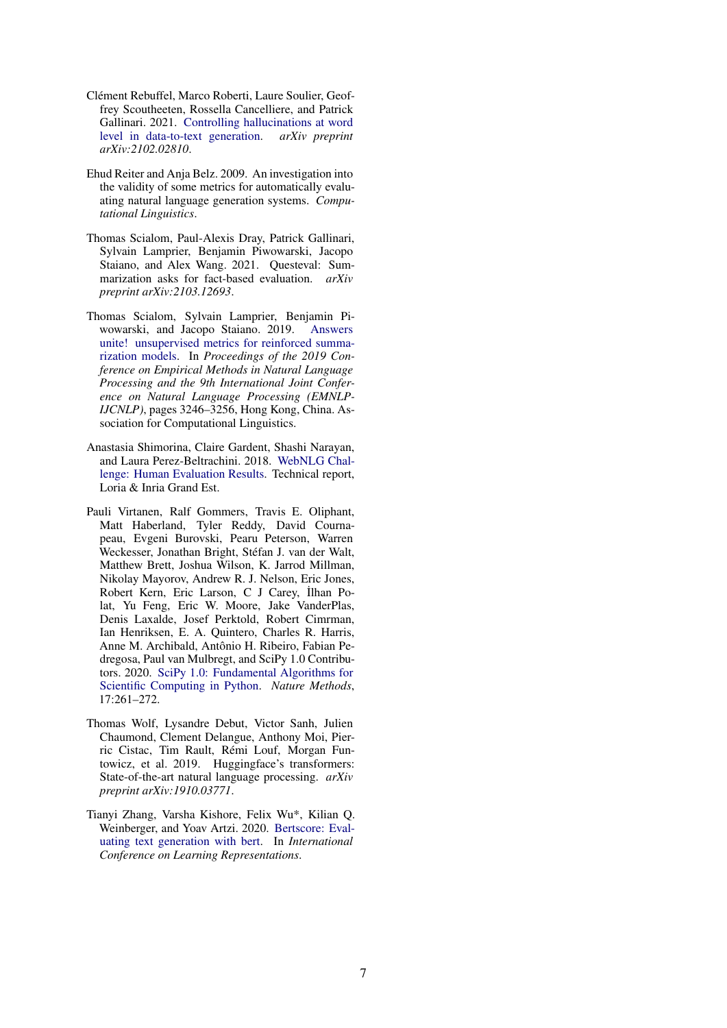- <span id="page-6-5"></span>Clément Rebuffel, Marco Roberti, Laure Soulier, Geoffrey Scoutheeten, Rossella Cancelliere, and Patrick Gallinari. 2021. [Controlling hallucinations at word](https://arxiv.org/pdf/2102.02810.pdf) [level in data-to-text generation.](https://arxiv.org/pdf/2102.02810.pdf) *arXiv preprint arXiv:2102.02810*.
- <span id="page-6-0"></span>Ehud Reiter and Anja Belz. 2009. An investigation into the validity of some metrics for automatically evaluating natural language generation systems. *Computational Linguistics*.
- <span id="page-6-1"></span>Thomas Scialom, Paul-Alexis Dray, Patrick Gallinari, Sylvain Lamprier, Benjamin Piwowarski, Jacopo Staiano, and Alex Wang. 2021. Questeval: Summarization asks for fact-based evaluation. *arXiv preprint arXiv:2103.12693*.
- <span id="page-6-3"></span>Thomas Scialom, Sylvain Lamprier, Benjamin Piwowarski, and Jacopo Staiano. 2019. [Answers](https://doi.org/10.18653/v1/D19-1320) [unite! unsupervised metrics for reinforced summa](https://doi.org/10.18653/v1/D19-1320)[rization models.](https://doi.org/10.18653/v1/D19-1320) In *Proceedings of the 2019 Conference on Empirical Methods in Natural Language Processing and the 9th International Joint Conference on Natural Language Processing (EMNLP-IJCNLP)*, pages 3246–3256, Hong Kong, China. Association for Computational Linguistics.
- <span id="page-6-4"></span>Anastasia Shimorina, Claire Gardent, Shashi Narayan, and Laura Perez-Beltrachini. 2018. [WebNLG Chal](https://hal.archives-ouvertes.fr/hal-03007072)[lenge: Human Evaluation Results.](https://hal.archives-ouvertes.fr/hal-03007072) Technical report, Loria & Inria Grand Est.
- <span id="page-6-7"></span>Pauli Virtanen, Ralf Gommers, Travis E. Oliphant, Matt Haberland, Tyler Reddy, David Cournapeau, Evgeni Burovski, Pearu Peterson, Warren Weckesser, Jonathan Bright, Stéfan J. van der Walt, Matthew Brett, Joshua Wilson, K. Jarrod Millman, Nikolay Mayorov, Andrew R. J. Nelson, Eric Jones, Robert Kern, Eric Larson, C J Carey, İlhan Polat, Yu Feng, Eric W. Moore, Jake VanderPlas, Denis Laxalde, Josef Perktold, Robert Cimrman, Ian Henriksen, E. A. Quintero, Charles R. Harris, Anne M. Archibald, Antônio H. Ribeiro, Fabian Pedregosa, Paul van Mulbregt, and SciPy 1.0 Contributors. 2020. [SciPy 1.0: Fundamental Algorithms for](https://doi.org/10.1038/s41592-019-0686-2) [Scientific Computing in Python.](https://doi.org/10.1038/s41592-019-0686-2) *Nature Methods*, 17:261–272.
- <span id="page-6-6"></span>Thomas Wolf, Lysandre Debut, Victor Sanh, Julien Chaumond, Clement Delangue, Anthony Moi, Pierric Cistac, Tim Rault, Rémi Louf, Morgan Funtowicz, et al. 2019. Huggingface's transformers: State-of-the-art natural language processing. *arXiv preprint arXiv:1910.03771*.
- <span id="page-6-2"></span>Tianyi Zhang, Varsha Kishore, Felix Wu\*, Kilian Q. Weinberger, and Yoav Artzi. 2020. [Bertscore: Eval](https://openreview.net/forum?id=SkeHuCVFDr)[uating text generation with bert.](https://openreview.net/forum?id=SkeHuCVFDr) In *International Conference on Learning Representations*.